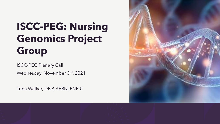# **ISCC-PEG: Nursing Genomics Project Group**

ISCC-PEG Plenary Call

Wednesday, November 3rd, 2021

Trina Walker, DNP, APRN, FNP-C

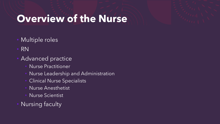## **Overview of the Nurse**

- Multiple roles
- RN
- Advanced practice
	- Nurse Practitioner
	- Nurse Leadership and Administration
	- Clinical Nurse Specialists
	- Nurse Anesthetist
	- Nurse Scientist
- Nursing faculty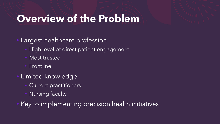## **Overview of the Problem**

- Largest healthcare profession
	- High level of direct patient engagement
	- Most trusted
	- **Frontline**
- Limited knowledge
	- Current practitioners
	- Nursing faculty
- Key to implementing precision health initiatives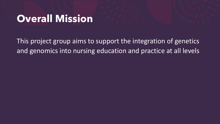#### **Overall Mission**

This project group aims to support the integration of genetics and genomics into nursing education and practice at all levels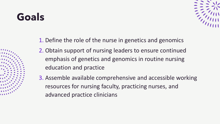# **Goals**



- 1. Define the role of the nurse in genetics and genomics
- 2. Obtain support of nursing leaders to ensure continued emphasis of genetics and genomics in routine nursing education and practice
- 3. Assemble available comprehensive and accessible working resources for nursing faculty, practicing nurses, and advanced practice clinicians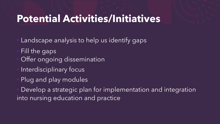## **Potential Activities/Initiatives**

- Landscape analysis to help us identify gaps
- Fill the gaps
- Offer ongoing dissemination
- Interdisciplinary focus
- Plug and play modules
- Develop a strategic plan for implementation and integration into nursing education and practice